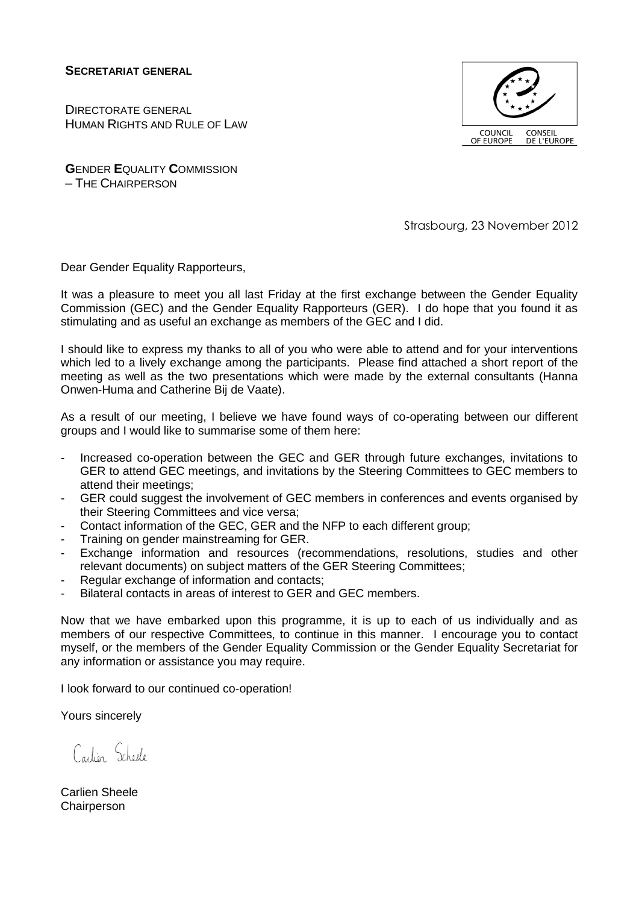**SECRETARIAT GENERAL**

DIRECTORATE GENERAL HUMAN RIGHTS AND RULE OF LAW



**G**ENDER **E**QUALITY **C**OMMISSION – THE CHAIRPERSON

Strasbourg, 23 November 2012

Dear Gender Equality Rapporteurs,

It was a pleasure to meet you all last Friday at the first exchange between the Gender Equality Commission (GEC) and the Gender Equality Rapporteurs (GER). I do hope that you found it as stimulating and as useful an exchange as members of the GEC and I did.

I should like to express my thanks to all of you who were able to attend and for your interventions which led to a lively exchange among the participants. Please find attached a short report of the meeting as well as the two presentations which were made by the external consultants (Hanna Onwen-Huma and Catherine Bij de Vaate).

As a result of our meeting, I believe we have found ways of co-operating between our different groups and I would like to summarise some of them here:

- Increased co-operation between the GEC and GER through future exchanges, invitations to GER to attend GEC meetings, and invitations by the Steering Committees to GEC members to attend their meetings;
- GER could suggest the involvement of GEC members in conferences and events organised by their Steering Committees and vice versa;
- Contact information of the GEC, GER and the NFP to each different group;
- Training on gender mainstreaming for GER.
- Exchange information and resources (recommendations, resolutions, studies and other relevant documents) on subject matters of the GER Steering Committees;
- Regular exchange of information and contacts;
- Bilateral contacts in areas of interest to GER and GEC members.

Now that we have embarked upon this programme, it is up to each of us individually and as members of our respective Committees, to continue in this manner. I encourage you to contact myself, or the members of the Gender Equality Commission or the Gender Equality Secretariat for any information or assistance you may require.

I look forward to our continued co-operation!

Yours sincerely

Carlien Scheele

Carlien Sheele **Chairperson**